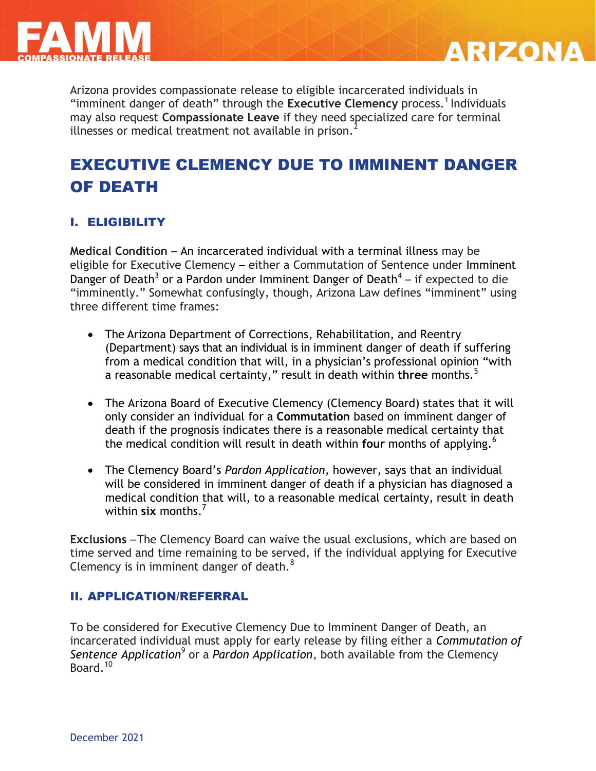



Arizona provides compassionate release to eligible incarcerated individuals in "imminent danger of death" through the Executive Clemency process.<sup>1</sup> Individuals may also request **Compassionate Leave** if they need specialized care for terminal illnesses or medical treatment not available in prison.<sup>2</sup>

# EXECUTIVE CLEMENCY DUE TO IMMINENT DANGER OF DEATH

### I. ELIGIBILITY

**Medical Condition** – An incarcerated individual with a terminal illness may be eligible for Executive Clemency – either a Commutation of Sentence under Imminent Danger of Death<sup>3</sup> or a Pardon under Imminent Danger of Death<sup>4</sup> – if expected to die "imminently." Somewhat confusingly, though, Arizona Law defines "imminent" using three different time frames:

- The Arizona Department of Corrections, Rehabilitation, and Reentry (Department) says that an individual is in imminent danger of death if suffering from a medical condition that will, in a physician's professional opinion "with a reasonable medical certainty," result in death within **three** months.<sup>5</sup>
- The Arizona Board of Executive Clemency (Clemency Board) states that it will only consider an individual for a **Commutation** based on imminent danger of death if the prognosis indicates there is a reasonable medical certainty that the medical condition will result in death within **four** months of applying. 6
- The Clemency Board's *Pardon Application*, however, says that an individual will be considered in imminent danger of death if a physician has diagnosed a medical condition that will, to a reasonable medical certainty, result in death within **six** months <sup>7</sup>

**Exclusions** –The Clemency Board can waive the usual exclusions, which are based on time served and time remaining to be served, if the individual applying for Executive Clemency is in imminent danger of death.<sup>8</sup>

#### II. APPLICATION/REFERRAL

To be considered for Executive Clemency Due to Imminent Danger of Death, an incarcerated individual must apply for early release by filing either a *Commutation of*  Sentence Application<sup>9</sup> or a *Pardon Application*, both available from the Clemency Board.<sup>10</sup>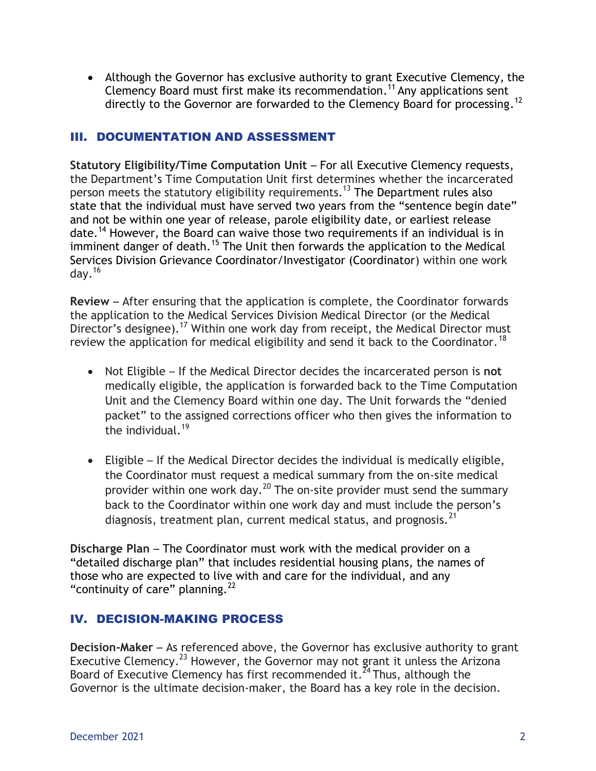Although the Governor has exclusive authority to grant Executive Clemency, the Clemency Board must first make its recommendation.<sup>11</sup> Any applications sent directly to the Governor are forwarded to the Clemency Board for processing.<sup>12</sup>

### III. DOCUMENTATION AND ASSESSMENT

**Statutory Eligibility/Time Computation Unit** – For all Executive Clemency requests, the Department's Time Computation Unit first determines whether the incarcerated person meets the statutory eligibility requirements.<sup>13</sup> The Department rules also state that the individual must have served two years from the "sentence begin date" and not be within one year of release, parole eligibility date, or earliest release date.<sup>14</sup> However, the Board can waive those two requirements if an individual is in imminent danger of death.<sup>15</sup> The Unit then forwards the application to the Medical Services Division Grievance Coordinator/Investigator (Coordinator) within one work day. $16$ 

**Review** – After ensuring that the application is complete, the Coordinator forwards the application to the Medical Services Division Medical Director (or the Medical Director's designee).<sup>17</sup> Within one work day from receipt, the Medical Director must review the application for medical eligibility and send it back to the Coordinator.<sup>18</sup>

- Not Eligible If the Medical Director decides the incarcerated person is **not** medically eligible, the application is forwarded back to the Time Computation Unit and the Clemency Board within one day. The Unit forwards the "denied packet" to the assigned corrections officer who then gives the information to the individual.<sup>19</sup>
- Eligible If the Medical Director decides the individual is medically eligible, the Coordinator must request a medical summary from the on-site medical provider within one work day.<sup>20</sup> The on-site provider must send the summary back to the Coordinator within one work day and must include the person's diagnosis, treatment plan, current medical status, and prognosis.<sup>21</sup>

**Discharge Plan** – The Coordinator must work with the medical provider on a "detailed discharge plan" that includes residential housing plans, the names of those who are expected to live with and care for the individual, and any "continuity of care" planning. $^{22}$ 

### IV. DECISION-MAKING PROCESS

**Decision-Maker** – As referenced above, the Governor has exclusive authority to grant Executive Clemency.<sup>23</sup> However, the Governor may not grant it unless the Arizona Board of Executive Clemency has first recommended it.<sup>24</sup> Thus, although the Governor is the ultimate decision-maker, the Board has a key role in the decision.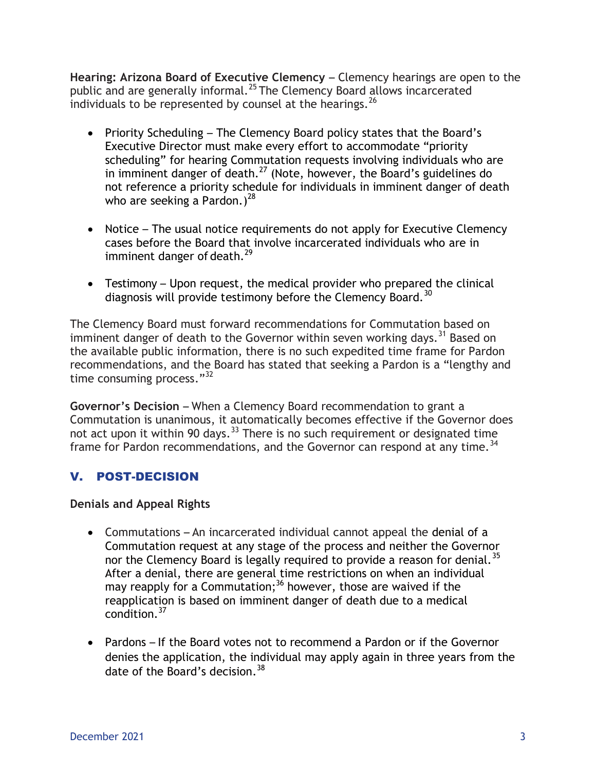**Hearing: Arizona Board of Executive Clemency** – Clemency hearings are open to the public and are generally informal.<sup>25</sup> The Clemency Board allows incarcerated individuals to be represented by counsel at the hearings. $^{26}$ 

- Priority Scheduling The Clemency Board policy states that the Board's Executive Director must make every effort to accommodate "priority scheduling" for hearing Commutation requests involving individuals who are in imminent danger of death.<sup>27</sup> (Note, however, the Board's guidelines do not reference a priority schedule for individuals in imminent danger of death who are seeking a Pardon.)<sup>28</sup>
- Notice The usual notice requirements do not apply for Executive Clemency cases before the Board that involve incarcerated individuals who are in imminent danger of death. $^{29}$
- Testimony Upon request, the medical provider who prepared the clinical diagnosis will provide testimony before the Clemency Board.<sup>30</sup>

The Clemency Board must forward recommendations for Commutation based on imminent danger of death to the Governor within seven working days.<sup>31</sup> Based on the available public information, there is no such expedited time frame for Pardon recommendations, and the Board has stated that seeking a Pardon is a "lengthy and time consuming process."<sup>32</sup>

**Governor's Decision** – When a Clemency Board recommendation to grant a Commutation is unanimous, it automatically becomes effective if the Governor does not act upon it within 90 days.  $33$  There is no such requirement or designated time frame for Pardon recommendations, and the Governor can respond at any time.<sup>34</sup>

## V. POST-DECISION

### **Denials and Appeal Rights**

- Commutations An incarcerated individual cannot appeal the denial of a Commutation request at any stage of the process and neither the Governor nor the Clemency Board is legally required to provide a reason for denial.<sup>35</sup> After a denial, there are general time restrictions on when an individual may reapply for a Commutation;<sup>36</sup> however, those are waived if the reapplication is based on imminent danger of death due to a medical condition.<sup>37</sup>
- Pardons If the Board votes not to recommend a Pardon or if the Governor denies the application, the individual may apply again in three years from the date of the Board's decision.<sup>38</sup>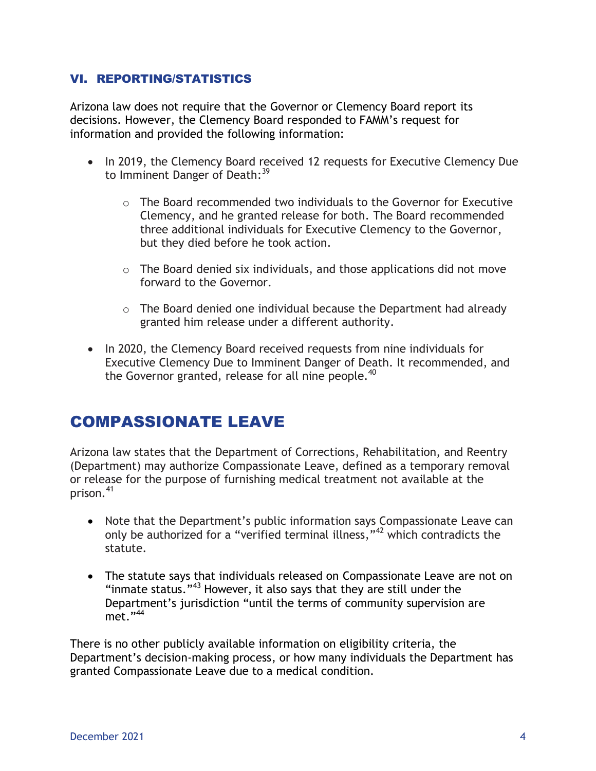### VI. REPORTING/STATISTICS

Arizona law does not require that the Governor or Clemency Board report its decisions. However, the Clemency Board responded to FAMM's request for information and provided the following information:

- In 2019, the Clemency Board received 12 requests for Executive Clemency Due to Imminent Danger of Death:<sup>39</sup>
	- $\circ$  The Board recommended two individuals to the Governor for Executive Clemency, and he granted release for both. The Board recommended three additional individuals for Executive Clemency to the Governor, but they died before he took action.
	- $\circ$  The Board denied six individuals, and those applications did not move forward to the Governor.
	- $\circ$  The Board denied one individual because the Department had already granted him release under a different authority.
- In 2020, the Clemency Board received requests from nine individuals for Executive Clemency Due to Imminent Danger of Death. It recommended, and the Governor granted, release for all nine people.<sup>40</sup>

## COMPASSIONATE LEAVE

Arizona law states that the Department of Corrections, Rehabilitation, and Reentry (Department) may authorize Compassionate Leave, defined as a temporary removal or release for the purpose of furnishing medical treatment not available at the prison.<sup>41</sup>

- Note that the Department's public information says Compassionate Leave can only be authorized for a "verified terminal illness,"<sup>42</sup> which contradicts the statute.
- The statute says that individuals released on Compassionate Leave are not on "inmate status."<sup>43</sup> However, it also says that they are still under the Department's jurisdiction "until the terms of community supervision are met."<sup>44</sup>

There is no other publicly available information on eligibility criteria, the Department's decision-making process, or how many individuals the Department has granted Compassionate Leave due to a medical condition.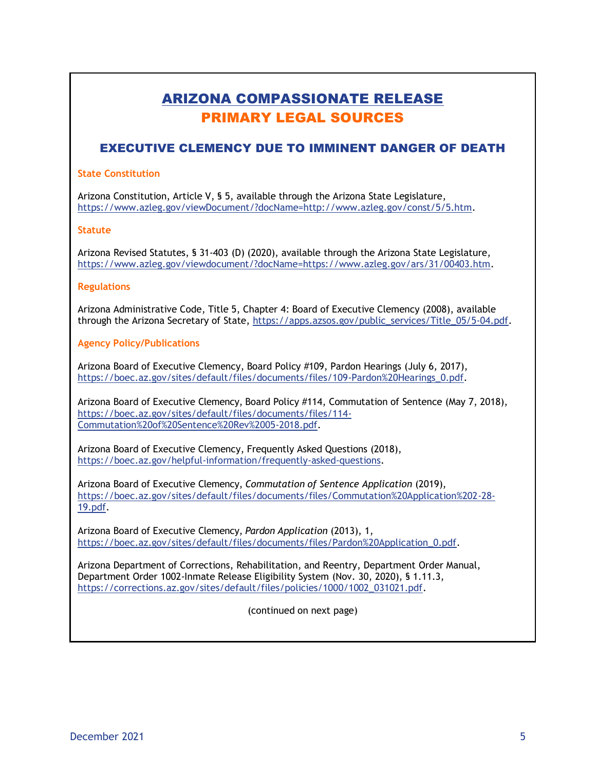## ARIZONA COMPASSIONATE RELEASE PRIMARY LEGAL SOURCES

### EXECUTIVE CLEMENCY DUE TO IMMINENT DANGER OF DEATH

#### **State Constitution**

Arizona Constitution, Article V, § 5, available through the Arizona State Legislature, https://www.azleg.gov/viewDocument/?docName=http://www.azleg.gov/const/5/5.htm.

#### **Statute**

Arizona Revised Statutes, § 31-403 (D) (2020), available through the Arizona State Legislature, https://www.azleg.gov/viewdocument/?docName=https://www.azleg.gov/ars/31/00403.htm.

#### **Regulations**

Arizona Administrative Code, Title 5, Chapter 4: Board of Executive Clemency (2008), available through the Arizona Secretary of State, [https://apps.azsos.gov/public\\_services/Title\\_05/5-04.pdf.](https://apps.azsos.gov/public_services/Title_05/5-04.pdf)

#### **Agency Policy/Publications**

Arizona Board of Executive Clemency, Board Policy #109, Pardon Hearings (July 6, 2017), [https://boec.az.gov/sites/default/files/documents/files/109-Pardon%20Hearings\\_0.pdf.](https://boec.az.gov/sites/default/files/documents/files/109-Pardon%20Hearings_0.pdf)

Arizona Board of Executive Clemency, Board Policy #114, Commutation of Sentence (May 7, 2018), [https://boec.az.gov/sites/default/files/documents/files/114-](https://boec.az.gov/sites/default/files/documents/files/114-Commutation%20of%20Sentence%20Rev%2005-2018.pdf) [Commutation%20of%20Sentence%20Rev%2005-2018.pdf.](https://boec.az.gov/sites/default/files/documents/files/114-Commutation%20of%20Sentence%20Rev%2005-2018.pdf)

Arizona Board of Executive Clemency, Frequently Asked Questions (2018), [https://boec.az.gov/helpful-information/frequently-asked-questions.](https://boec.az.gov/helpful-information/frequently-asked-questions)

Arizona Board of Executive Clemency, *Commutation of Sentence Application* (2019), [https://boec.az.gov/sites/default/files/documents/files/Commutation%20Application%202-28-](https://boec.az.gov/sites/default/files/documents/files/Commutation%20Application%202-28-19.pdf) [19.pdf.](https://boec.az.gov/sites/default/files/documents/files/Commutation%20Application%202-28-19.pdf)

Arizona Board of Executive Clemency, *Pardon Application* (2013), 1, [https://boec.az.gov/sites/default/files/documents/files/Pardon%20Application\\_0.pdf.](https://boec.az.gov/sites/default/files/documents/files/Pardon%20Application_0.pdf)

Arizona Department of Corrections, Rehabilitation, and Reentry, Department Order Manual, Department Order 1002-Inmate Release Eligibility System (Nov. 30, 2020), § 1.11.3, [https://corrections.az.gov/sites/default/files/policies/1000/1002\\_031021.pdf.](https://corrections.az.gov/sites/default/files/policies/1000/1002_031021.pdf)

(continued on next page)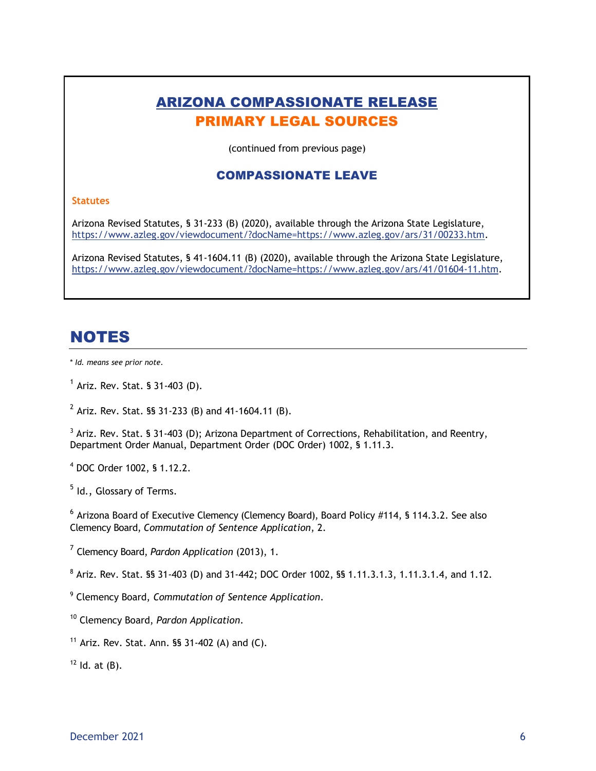## ARIZONA COMPASSIONATE RELEASE PRIMARY LEGAL SOURCES

(continued from previous page)

#### COMPASSIONATE LEAVE

#### **Statutes**

Arizona Revised Statutes, § 31-233 (B) (2020), available through the Arizona State Legislature, [https://www.azleg.gov/viewdocument/?docName=https://www.azleg.gov/ars/31/00233.htm.](https://www.azleg.gov/viewdocument/?docName=https://www.azleg.gov/ars/31/00233.htm)

Arizona Revised Statutes, § 41-1604.11 (B) (2020), available through the Arizona State Legislature, [https://www.azleg.gov/viewdocument/?docName=https://www.azleg.gov/ars/41/01604-11.htm.](https://www.azleg.gov/viewdocument/?docName=https://www.azleg.gov/ars/41/01604-11.htm)

## NOTES

\* *Id. means see prior note.*

 $^1$  Ariz. Rev. Stat. § 31-403 (D).

 $^{2}$  Ariz. Rev. Stat. §§ 31-233 (B) and 41-1604.11 (B).

 $3$  Ariz. Rev. Stat. § 31-403 (D); Arizona Department of Corrections, Rehabilitation, and Reentry, Department Order Manual, Department Order (DOC Order) 1002, § 1.11.3.

<sup>4</sup> DOC Order 1002, § 1.12.2.

<sup>5</sup> Id., Glossary of Terms.

 $^6$  Arizona Board of Executive Clemency (Clemency Board), Board Policy #114, § 114.3.2. See also Clemency Board, *Commutation of Sentence Application*, 2.

7 Clemency Board, *Pardon Application* (2013), 1.

 $8$  Ariz. Rev. Stat. §§ 31-403 (D) and 31-442; DOC Order 1002, §§ 1.11.3.1.3, 1.11.3.1.4, and 1.12.

9 Clemency Board, *Commutation of Sentence Application*.

<sup>10</sup> Clemency Board, *Pardon Application*.

<sup>11</sup> Ariz. Rev. Stat. Ann.  $\S$ § 31-402 (A) and (C).

 $12$  Id. at  $(B)$ .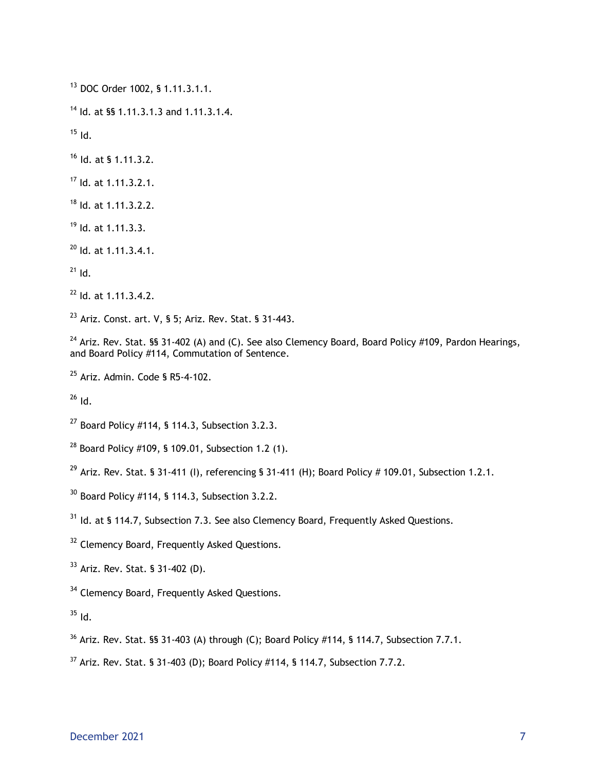DOC Order 1002, § 1.11.3.1.1.

<sup>14</sup> Id. at §§ 1.11.3.1.3 and 1.11.3.1.4.

Id.

Id. at § 1.11.3.2.

Id. at 1.11.3.2.1.

Id. at 1.11.3.2.2.

Id. at 1.11.3.3.

Id. at 1.11.3.4.1.

 $^{21}$  Id.

Id. at 1.11.3.4.2.

Ariz. Const. art. V, § 5; Ariz. Rev. Stat. § 31-443.

<sup>24</sup> Ariz. Rev. Stat. §§ 31-402 (A) and (C). See also Clemency Board, Board Policy #109, Pardon Hearings, and Board Policy #114, Commutation of Sentence.

Ariz. Admin. Code § R5-4-102.

Id.

Board Policy #114, § 114.3, Subsection 3.2.3.

<sup>28</sup> Board Policy #109, § 109.01, Subsection 1.2 (1).

<sup>29</sup> Ariz. Rev. Stat. § 31-411 (I), referencing § 31-411 (H); Board Policy # 109.01, Subsection 1.2.1.

Board Policy #114, § 114.3, Subsection 3.2.2.

<sup>31</sup> Id. at § 114.7, Subsection 7.3. See also Clemency Board, Frequently Asked Questions.

<sup>32</sup> Clemency Board, Frequently Asked Questions.

Ariz. Rev. Stat. § 31-402 (D).

<sup>34</sup> Clemency Board, Frequently Asked Questions.

Id.

Ariz. Rev. Stat. §§ 31-403 (A) through (C); Board Policy #114, § 114.7, Subsection 7.7.1.

Ariz. Rev. Stat. § 31-403 (D); Board Policy #114, § 114.7, Subsection 7.7.2.